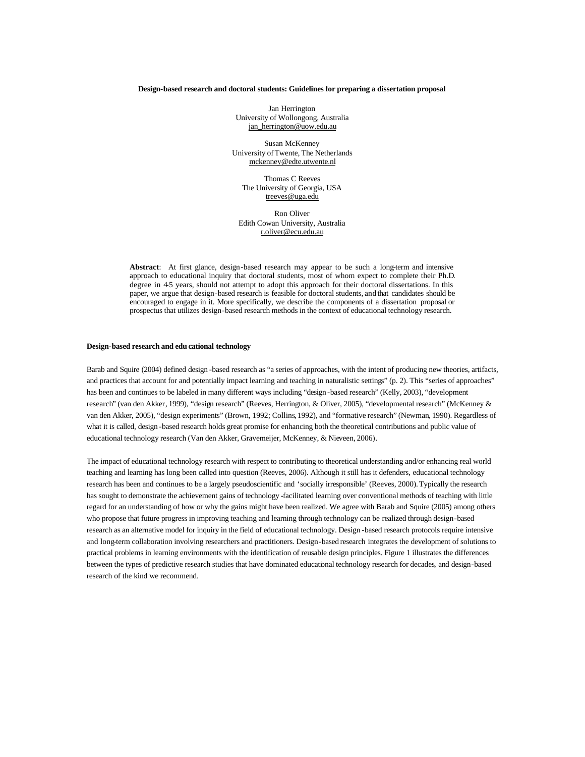# **Design-based research and doctoral students: Guidelines for preparing a dissertation proposal**

Jan Herrington University of Wollongong, Australia jan\_herrington@uow.edu.au

Susan McKenney University of Twente, The Netherlands mckenney@edte.utwente.nl

Thomas C Reeves The University of Georgia, USA treeves@uga.edu

Ron Oliver Edith Cowan University, Australia r.oliver@ecu.edu.au

**Abstract**: At first glance, design-based research may appear to be such a long-term and intensive approach to educational inquiry that doctoral students, most of whom expect to complete their Ph.D. degree in 4-5 years, should not attempt to adopt this approach for their doctoral dissertations. In this paper, we argue that design-based research is feasible for doctoral students, and that candidates should be encouraged to engage in it. More specifically, we describe the components of a dissertation proposal or prospectus that utilizes design-based research methods in the context of educational technology research.

### **Design-based research and edu cational technology**

Barab and Squire (2004) defined design -based research as "a series of approaches, with the intent of producing new theories, artifacts, and practices that account for and potentially impact learning and teaching in naturalistic settings" (p. 2). This "series of approaches" has been and continues to be labeled in many different ways including "design -based research" (Kelly, 2003), "development research" (van den Akker, 1999), "design research" (Reeves, Herrington, & Oliver, 2005), "developmental research" (McKenney & van den Akker, 2005), "design experiments" (Brown, 1992; Collins, 1992), and "formative research" (Newman, 1990). Regardless of what it is called, design -based research holds great promise for enhancing both the theoretical contributions and public value of educational technology research (Van den Akker, Gravemeijer, McKenney, & Nieveen, 2006).

The impact of educational technology research with respect to contributing to theoretical understanding and/or enhancing real world teaching and learning has long been called into question (Reeves, 2006). Although it still has it defenders, educational technology research has been and continues to be a largely pseudoscientific and 'socially irresponsible' (Reeves, 2000). Typically the research has sought to demonstrate the achievement gains of technology -facilitated learning over conventional methods of teaching with little regard for an understanding of how or why the gains might have been realized. We agree with Barab and Squire (2005) among others who propose that future progress in improving teaching and learning through technology can be realized through design-based research as an alternative model for inquiry in the field of educational technology. Design -based research protocols require intensive and long-term collaboration involving researchers and practitioners. Design-based research integrates the development of solutions to practical problems in learning environments with the identification of reusable design principles. Figure 1 illustrates the differences between the types of predictive research studies that have dominated educational technology research for decades, and design-based research of the kind we recommend.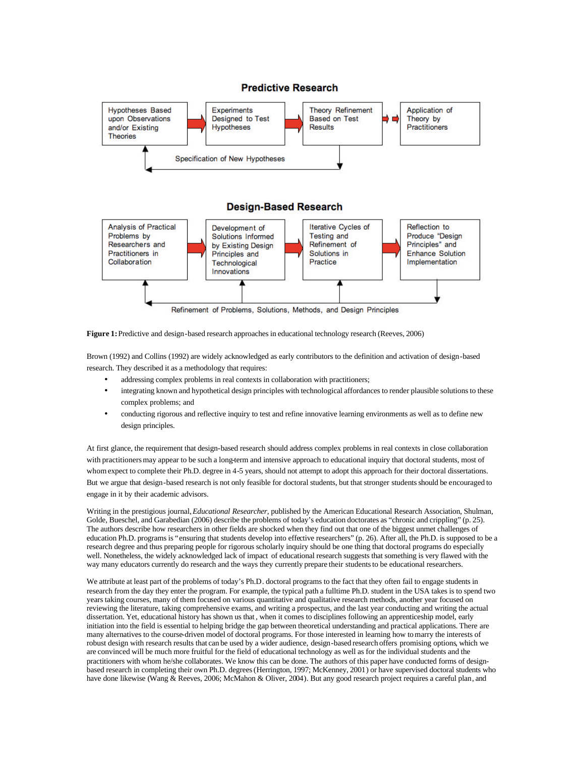

**Figure 1:**Predictive and design-based research approaches in educational technology research (Reeves, 2006)

Brown (1992) and Collins (1992) are widely acknowledged as early contributors to the definition and activation of design-based research. They described it as a methodology that requires:

- addressing complex problems in real contexts in collaboration with practitioners;
- integrating known and hypothetical design principles with technological affordances to render plausible solutions to these complex problems; and
- conducting rigorous and reflective inquiry to test and refine innovative learning environments as well as to define new design principles.

At first glance, the requirement that design-based research should address complex problems in real contexts in close collaboration with practitioners may appear to be such a long-term and intensive approach to educational inquiry that doctoral students, most of whom expect to complete their Ph.D. degree in 4-5 years, should not attempt to adopt this approach for their doctoral dissertations. But we argue that design-based research is not only feasible for doctoral students, but that stronger studentsshould be encouraged to engage in it by their academic advisors.

Writing in the prestigious journal, *Educational Researcher*, published by the American Educational Research Association, Shulman, Golde, Bueschel, and Garabedian (2006) describe the problems of today's education doctorates as "chronic and crippling" (p. 25). The authors describe how researchers in other fields are shocked when they find out that one of the biggest unmet challenges of education Ph.D. programs is "ensuring that students develop into effective researchers" (p. 26). After all, the Ph.D. is supposed to be a research degree and thus preparing people for rigorous scholarly inquiry should be one thing that doctoral programs do especially well. Nonetheless, the widely acknowledged lack of impact of educational research suggests that something is very flawed with the way many educators currently do research and the ways they currently prepare their students to be educational researchers.

We attribute at least part of the problems of today's Ph.D. doctoral programs to the fact that they often fail to engage students in research from the day they enter the program. For example, the typical path a fulltime Ph.D. student in the USA takes is to spend two years taking courses, many of them focused on various quantitative and qualitative research methods, another year focused on reviewing the literature, taking comprehensive exams, and writing a prospectus, and the last year conducting and writing the actual dissertation. Yet, educational history has shown us that , when it comes to disciplines following an apprenticeship model, early initiation into the field is essential to helping bridge the gap between theoretical understanding and practical applications. There are many alternatives to the course-driven model of doctoral programs. For those interested in learning how to marry the interests of robust design with research results that can be used by a wider audience, design-based research offers promising options, which we are convinced will be much more fruitful for the field of educational technology as well as for the individual students and the practitioners with whom he/she collaborates. We know this can be done. The authors of this paper have conducted forms of designbased research in completing their own Ph.D. degrees (Herrington, 1997; McKenney, 2001) or have supervised doctoral students who have done likewise (Wang & Reeves, 2006; McMahon & Oliver, 2004). But any good research project requires a careful plan, and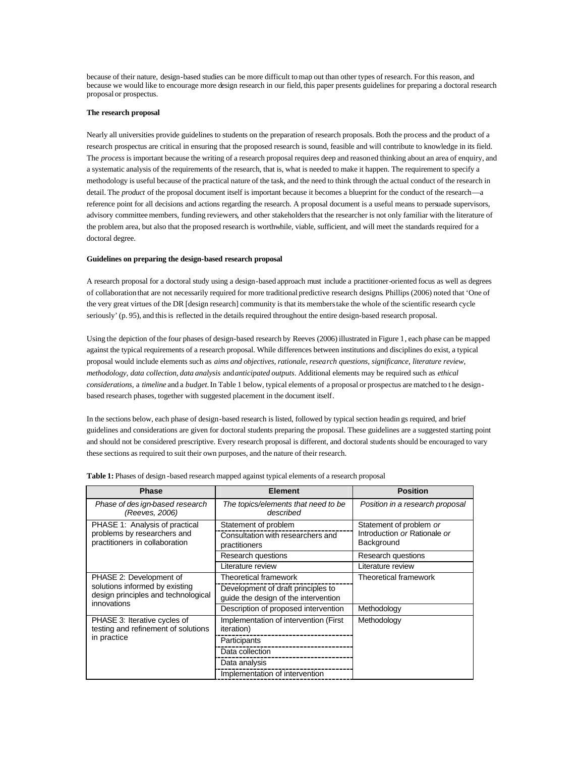because of their nature, design-based studies can be more difficult to map out than other types of research. For this reason, and because we would like to encourage more design research in our field, this paper presents guidelines for preparing a doctoral research proposal or prospectus.

### **The research proposal**

Nearly all universities provide guidelines to students on the preparation of research proposals. Both the process and the product of a research prospectus are critical in ensuring that the proposed research is sound, feasible and will contribute to knowledge in its field. The *process* is important because the writing of a research proposal requires deep and reasoned thinking about an area of enquiry, and a systematic analysis of the requirements of the research, that is, what is needed to make it happen. The requirement to specify a methodology is useful because of the practical nature of the task, and the need to think through the actual conduct of the research in detail. The *product* of the proposal document itself is important because it becomes a blueprint for the conduct of the research—a reference point for all decisions and actions regarding the research. A proposal document is a useful means to persuade supervisors, advisory committee members, funding reviewers, and other stakeholders that the researcher is not only familiar with the literature of the problem area, but also that the proposed research is worthwhile, viable, sufficient, and will meet the standards required for a doctoral degree.

### **Guidelines on preparing the design-based research proposal**

A research proposal for a doctoral study using a design-based approach must include a practitioner-oriented focus as well as degrees of collaboration that are not necessarily required for more traditional predictive research designs. Phillips (2006) noted that 'One of the very great virtues of the DR [design research] community is that its members take the whole of the scientific research cycle seriously' (p. 95), and this is reflected in the details required throughout the entire design-based research proposal.

Using the depiction of the four phases of design-based research by Reeves (2006) illustrated in Figure 1, each phase can be mapped against the typical requirements of a research proposal. While differences between institutions and disciplines do exist, a typical proposal would include elements such as *aims and objectives, rationale, research questions, significance, literature review, methodology, data collection, data analysis* and*anticipated outputs*. Additional elements may be required such as *ethical considerations,* a *timeline* and a *budget.* In Table 1 below, typical elements of a proposal or prospectus are matched to t he designbased research phases, together with suggested placement in the document itself.

In the sections below, each phase of design-based research is listed, followed by typical section headin gs required, and brief guidelines and considerations are given for doctoral students preparing the proposal. These guidelines are a suggested starting point and should not be considered prescriptive. Every research proposal is different, and doctoral students should be encouraged to vary these sections as required to suit their own purposes, and the nature of their research.

| <b>Phase</b>                                                                                     | <b>Element</b>                                                             | <b>Position</b>                                         |
|--------------------------------------------------------------------------------------------------|----------------------------------------------------------------------------|---------------------------------------------------------|
| Phase of des ign-based research<br>(Reeves, 2006)                                                | The topics/elements that need to be<br>described                           | Position in a research proposal                         |
| PHASE 1: Analysis of practical<br>problems by researchers and<br>practitioners in collaboration  | Statement of problem<br>Consultation with researchers and                  | Statement of problem or<br>Introduction or Rationale or |
|                                                                                                  | practitioners<br>Research questions                                        | Background<br>Research questions                        |
|                                                                                                  | Literature review                                                          | Literature review                                       |
| PHASE 2: Development of<br>solutions informed by existing<br>design principles and technological | Theoretical framework                                                      | Theoretical framework                                   |
|                                                                                                  | Development of draft principles to<br>guide the design of the intervention |                                                         |
| innovations                                                                                      | Description of proposed intervention                                       | Methodology                                             |
| PHASE 3: Iterative cycles of<br>testing and refinement of solutions                              | Implementation of intervention (First<br><i>iteration</i> )                | Methodology                                             |
| in practice                                                                                      | Participants                                                               |                                                         |
|                                                                                                  | Data collection                                                            |                                                         |
|                                                                                                  | Data analysis                                                              |                                                         |
|                                                                                                  | Implementation of intervention                                             |                                                         |

**Table 1:** Phases of design -based research mapped against typical elements of a research proposal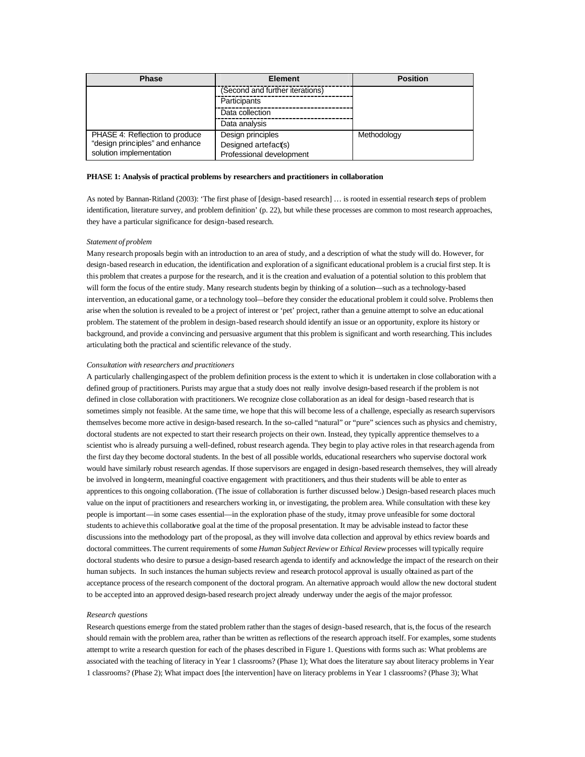| <b>Phase</b>                                               | <b>Element</b>                                   | <b>Position</b> |  |
|------------------------------------------------------------|--------------------------------------------------|-----------------|--|
|                                                            | (Second and further iterations)                  |                 |  |
|                                                            | Participants                                     |                 |  |
|                                                            | Data collection                                  |                 |  |
|                                                            | Data analysis                                    |                 |  |
| PHASE 4: Reflection to produce                             | Design principles                                | Methodology     |  |
| "design principles" and enhance<br>solution implementation | Designed artefact(s)<br>Professional development |                 |  |

### **PHASE 1: Analysis of practical problems by researchers and practitioners in collaboration**

As noted by Bannan-Ritland (2003): 'The first phase of [design-based research] … is rooted in essential research steps of problem identification, literature survey, and problem definition' (p. 22), but while these processes are common to most research approaches, they have a particular significance for design-based research.

### *Statement of problem*

Many research proposals begin with an introduction to an area of study, and a description of what the study will do. However, for design-based research in education, the identification and exploration of a significant educational problem is a crucial first step. It is this problem that creates a purpose for the research, and it is the creation and evaluation of a potential solution to this problem that will form the focus of the entire study. Many research students begin by thinking of a solution—such as a technology-based intervention, an educational game, or a technology tool—before they consider the educational problem it could solve. Problems then arise when the solution is revealed to be a project of interest or 'pet' project, rather than a genuine attempt to solve an educational problem. The statement of the problem in design-based research should identify an issue or an opportunity, explore its history or background, and provide a convincing and persuasive argument that this problem is significant and worth researching. This includes articulating both the practical and scientific relevance of the study.

### *Consultation with researchers and practitioners*

A particularly challengingaspect of the problem definition process is the extent to which it is undertaken in close collaboration with a defined group of practitioners. Purists may argue that a study does not really involve design-based research if the problem is not defined in close collaboration with practitioners. We recognize close collaboration as an ideal for design -based research that is sometimes simply not feasible. At the same time, we hope that this will become less of a challenge, especially as research supervisors themselves become more active in design-based research. In the so-called "natural" or "pure" sciences such as physics and chemistry, doctoral students are not expected to start their research projects on their own. Instead, they typically apprentice themselves to a scientist who is already pursuing a well-defined, robust research agenda. They begin to play active roles in that research agenda from the first day they become doctoral students. In the best of all possible worlds, educational researchers who supervise doctoral work would have similarly robust research agendas. If those supervisors are engaged in design-based research themselves, they will already be involved in long-term, meaningful coactive engagement with practitioners, and thus their students will be able to enter as apprentices to this ongoing collaboration. (The issue of collaboration is further discussed below.) Design-based research places much value on the input of practitioners and researchers working in, or investigating, the problem area. While consultation with these key people is important—in some cases essential—in the exploration phase of the study, it may prove unfeasible for some doctoral students to achieve this collaborative goal at the time of the proposal presentation. It may be advisable instead to factor these discussions into the methodology part of the proposal, as they will involve data collection and approval by ethics review boards and doctoral committees. The current requirements of some *Human Subject Review* or *Ethical Review* processes will typically require doctoral students who desire to pursue a design-based research agenda to identify and acknowledge the impact of the research on their human subjects. In such instances the human subjects review and research protocol approval is usually obtained as part of the acceptance process of the research component of the doctoral program. An alternative approach would allow the new doctoral student to be accepted into an approved design-based research project already underway under the aegis of the major professor.

# *Research questions*

Research questions emerge from the stated problem rather than the stages of design-based research, that is, the focus of the research should remain with the problem area, rather than be written as reflections of the research approach itself. For examples, some students attempt to write a research question for each of the phases described in Figure 1. Questions with forms such as: What problems are associated with the teaching of literacy in Year 1 classrooms? (Phase 1); What does the literature say about literacy problems in Year 1 classrooms? (Phase 2); What impact does [the intervention] have on literacy problems in Year 1 classrooms? (Phase 3); What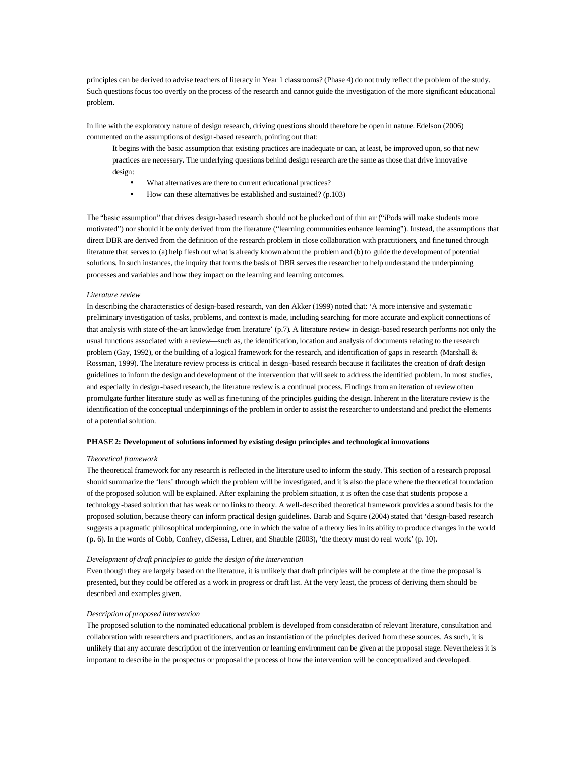principles can be derived to advise teachers of literacy in Year 1 classrooms? (Phase 4) do not truly reflect the problem of the study. Such questions focus too overtly on the process of the research and cannot guide the investigation of the more significant educational problem.

In line with the exploratory nature of design research, driving questions should therefore be open in nature. Edelson (2006) commented on the assumptions of design-based research, pointing out that:

It begins with the basic assumption that existing practices are inadequate or can, at least, be improved upon, so that new practices are necessary. The underlying questions behind design research are the same as those that drive innovative design:

- What alternatives are there to current educational practices?
- How can these alternatives be established and sustained? (p.103)

The "basic assumption" that drives design-based research should not be plucked out of thin air ("iPods will make students more motivated") nor should it be only derived from the literature ("learning communities enhance learning"). Instead, the assumptions that direct DBR are derived from the definition of the research problem in close collaboration with practitioners, and fine tuned through literature that serves to (a) help flesh out what is already known about the problem and (b) to guide the development of potential solutions. In such instances, the inquiry that forms the basis of DBR serves the researcher to help understand the underpinning processes and variables and how they impact on the learning and learning outcomes.

### *Literature review*

In describing the characteristics of design-based research, van den Akker (1999) noted that: 'A more intensive and systematic preliminary investigation of tasks, problems, and context is made, including searching for more accurate and explicit connections of that analysis with state-of-the-art knowledge from literature' (p.7). A literature review in design-based research performs not only the usual functions associated with a review—such as, the identification, location and analysis of documents relating to the research problem (Gay, 1992), or the building of a logical framework for the research, and identification of gaps in research (Marshall & Rossman, 1999). The literature review process is critical in design -based research because it facilitates the creation of draft design guidelines to inform the design and development of the intervention that will seek to address the identified problem. In most studies, and especially in design-based research, the literature review is a continual process. Findings from an iteration of review often promulgate further literature study as well as fine-tuning of the principles guiding the design. Inherent in the literature review is the identification of the conceptual underpinnings of the problem in order to assist the researcher to understand and predict the elements of a potential solution.

# **PHASE 2: Development of solutions informed by existing design principles and technological innovations**

## *Theoretical framework*

The theoretical framework for any research is reflected in the literature used to inform the study. This section of a research proposal should summarize the 'lens' through which the problem will be investigated, and it is also the place where the theoretical foundation of the proposed solution will be explained. After explaining the problem situation, it is often the case that students propose a technology -based solution that has weak or no links to theory. A well-described theoretical framework provides a sound basis for the proposed solution, because theory can inform practical design guidelines. Barab and Squire (2004) stated that 'design-based research suggests a pragmatic philosophical underpinning, one in which the value of a theory lies in its ability to produce changes in the world (p. 6). In the words of Cobb, Confrey, diSessa, Lehrer, and Shauble (2003), 'the theory must do real work' (p. 10).

### *Development of draft principles to guide the design of the intervention*

Even though they are largely based on the literature, it is unlikely that draft principles will be complete at the time the proposal is presented, but they could be offered as a work in progress or draft list. At the very least, the process of deriving them should be described and examples given.

# *Description of proposed intervention*

The proposed solution to the nominated educational problem is developed from consideration of relevant literature, consultation and collaboration with researchers and practitioners, and as an instantiation of the principles derived from these sources. As such, it is unlikely that any accurate description of the intervention or learning environment can be given at the proposal stage. Nevertheless it is important to describe in the prospectus or proposal the process of how the intervention will be conceptualized and developed.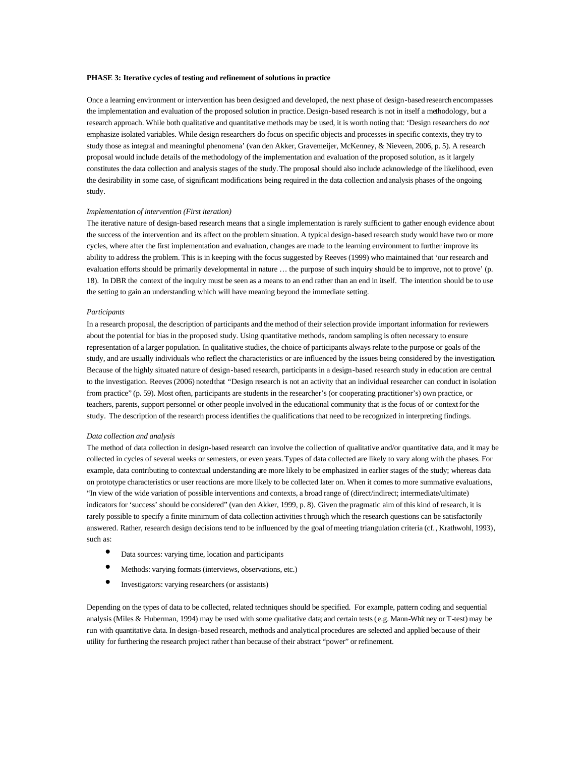## **PHASE 3: Iterative cycles of testing and refinement of solutions in practice**

Once a learning environment or intervention has been designed and developed, the next phase of design-based research encompasses the implementation and evaluation of the proposed solution in practice. Design-based research is not in itself a methodology, but a research approach. While both qualitative and quantitative methods may be used, it is worth noting that: 'Design researchers do *not*  emphasize isolated variables. While design researchers do focus on specific objects and processes in specific contexts, they try to study those as integral and meaningful phenomena' (van den Akker, Gravemeijer, McKenney, & Nieveen, 2006, p. 5). A research proposal would include details of the methodology of the implementation and evaluation of the proposed solution, as it largely constitutes the data collection and analysis stages of the study. The proposal should also include acknowledge of the likelihood, even the desirability in some case, of significant modifications being required in the data collection and analysis phases of the ongoing study.

# *Implementation of intervention (First iteration)*

The iterative nature of design-based research means that a single implementation is rarely sufficient to gather enough evidence about the success of the intervention and its affect on the problem situation. A typical design-based research study would have two or more cycles, where after the first implementation and evaluation, changes are made to the learning environment to further improve its ability to address the problem. This is in keeping with the focus suggested by Reeves (1999) who maintained that 'our research and evaluation efforts should be primarily developmental in nature … the purpose of such inquiry should be to improve, not to prove' (p. 18). In DBR the context of the inquiry must be seen as a means to an end rather than an end in itself. The intention should be to use the setting to gain an understanding which will have meaning beyond the immediate setting.

#### *Participants*

In a research proposal, the description of participants and the method of their selection provide important information for reviewers about the potential for bias in the proposed study. Using quantitative methods, random sampling is often necessary to ensure representation of a larger population. In qualitative studies, the choice of participants always relate to the purpose or goals of the study, and are usually individuals who reflect the characteristics or are influenced by the issues being considered by the investigation. Because of the highly situated nature of design-based research, participants in a design-based research study in education are central to the investigation. Reeves (2006) noted that "Design research is not an activity that an individual researcher can conduct in isolation from practice" (p. 59). Most often, participants are students in the researcher's (or cooperating practitioner's) own practice, or teachers, parents, support personnel or other people involved in the educational community that is the focus of or context for the study. The description of the research process identifies the qualifications that need to be recognized in interpreting findings.

### *Data collection and analysis*

The method of data collection in design-based research can involve the collection of qualitative and/or quantitative data, and it may be collected in cycles of several weeks or semesters, or even years. Types of data collected are likely to vary along with the phases. For example, data contributing to contextual understanding are more likely to be emphasized in earlier stages of the study; whereas data on prototype characteristics or user reactions are more likely to be collected later on. When it comes to more summative evaluations, "In view of the wide variation of possible interventions and contexts, a broad range of (direct/indirect; intermediate/ultimate) indicators for 'success' should be considered" (van den Akker, 1999, p. 8). Given the pragmatic aim of this kind of research, it is rarely possible to specify a finite minimum of data collection activities t hrough which the research questions can be satisfactorily answered. Rather, research design decisions tend to be influenced by the goal of meeting triangulation criteria (cf., Krathwohl, 1993), such as:

- Data sources: varying time, location and participants
- Methods: varying formats (interviews, observations, etc.)
- Investigators: varying researchers (or assistants)

Depending on the types of data to be collected, related techniques should be specified. For example, pattern coding and sequential analysis (Miles & Huberman, 1994) may be used with some qualitative data; and certain tests (e.g. Mann-Whit ney or T-test) may be run with quantitative data. In design-based research, methods and analytical procedures are selected and applied because of their utility for furthering the research project rather t han because of their abstract "power" or refinement.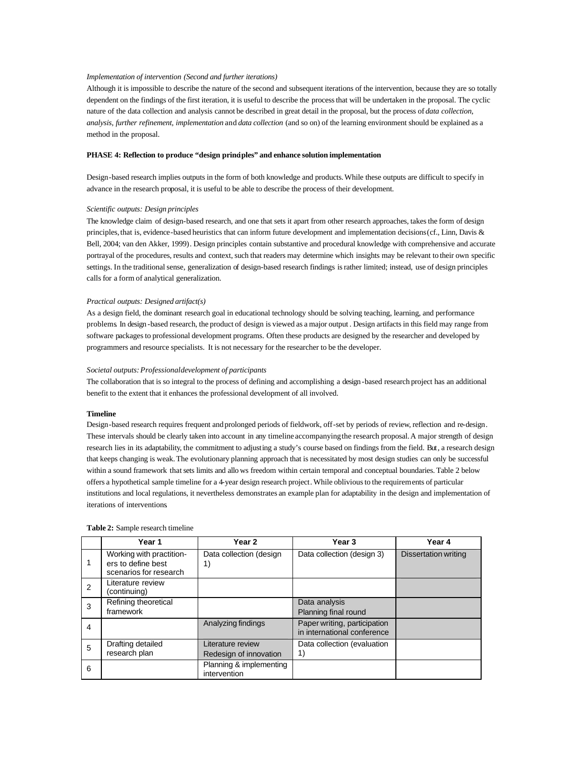# *Implementation of intervention (Second and further iterations)*

Although it is impossible to describe the nature of the second and subsequent iterations of the intervention, because they are so totally dependent on the findings of the first iteration, it is useful to describe the process that will be undertaken in the proposal. The cyclic nature of the data collection and analysis cannot be described in great detail in the proposal, but the process of *data collection, analysis, further refinement, implementation* and *data collection* (and so on) of the learning environment should be explained as a method in the proposal.

# **PHASE 4: Reflection to produce "design principles" and enhance solution implementation**

Design-based research implies outputs in the form of both knowledge and products. While these outputs are difficult to specify in advance in the research proposal, it is useful to be able to describe the process of their development.

# *Scientific outputs: Design principles*

The knowledge claim of design-based research, and one that sets it apart from other research approaches, takes the form of design principles, that is, evidence-based heuristics that can inform future development and implementation decisions(cf., Linn, Davis & Bell, 2004; van den Akker, 1999). Design principles contain substantive and procedural knowledge with comprehensive and accurate portrayal of the procedures, results and context, such that readers may determine which insights may be relevant to their own specific settings. In the traditional sense, generalization of design-based research findings is rather limited; instead, use of design principles calls for a form of analytical generalization.

## *Practical outputs: Designed artifact(s)*

As a design field, the dominant research goal in educational technology should be solving teaching, learning, and performance problems. In design -based research, the product of design is viewed as a major output . Design artifacts in this field may range from software packages to professional development programs. Often these products are designed by the researcher and developed by programmers and resource specialists. It is not necessary for the researcher to be the developer.

### *Societal outputs: Professional development of participants*

The collaboration that is so integral to the process of defining and accomplishing a design -based research project has an additional benefit to the extent that it enhances the professional development of all involved.

### **Timeline**

Design-based research requires frequent and prolonged periods of fieldwork, off-set by periods of review, reflection and re-design. These intervals should be clearly taken into account in any timeline accompanyingthe research proposal. A major strength of design research lies in its adaptability, the commitment to adjusting a study's course based on findings from the field. But, a research design that keeps changing is weak. The evolutionary planning approach that is necessitated by most design studies can only be successful within a sound framework that sets limits and allo ws freedom within certain temporal and conceptual boundaries. Table 2 below offers a hypothetical sample timeline for a 4-year design research project. While oblivious to the requirements of particular institutions and local regulations, it nevertheless demonstrates an example plan for adaptability in the design and implementation of iterations of interventions.

|   | Year 1                                                                   | Year <sub>2</sub>                           | Year <sub>3</sub>                                           | Year 4                      |
|---|--------------------------------------------------------------------------|---------------------------------------------|-------------------------------------------------------------|-----------------------------|
|   | Working with practition-<br>ers to define best<br>scenarios for research | Data collection (design<br>1)               | Data collection (design 3)                                  | <b>Dissertation writing</b> |
| 2 | Literature review<br>(continuing)                                        |                                             |                                                             |                             |
| 3 | Refining theoretical<br>framework                                        |                                             | Data analysis<br>Planning final round                       |                             |
| 4 |                                                                          | Analyzing findings                          | Paper writing, participation<br>in international conference |                             |
| 5 | Drafting detailed<br>research plan                                       | Literature review<br>Redesign of innovation | Data collection (evaluation<br>1)                           |                             |
| 6 |                                                                          | Planning & implementing<br>intervention     |                                                             |                             |

#### **Table 2:** Sample research timeline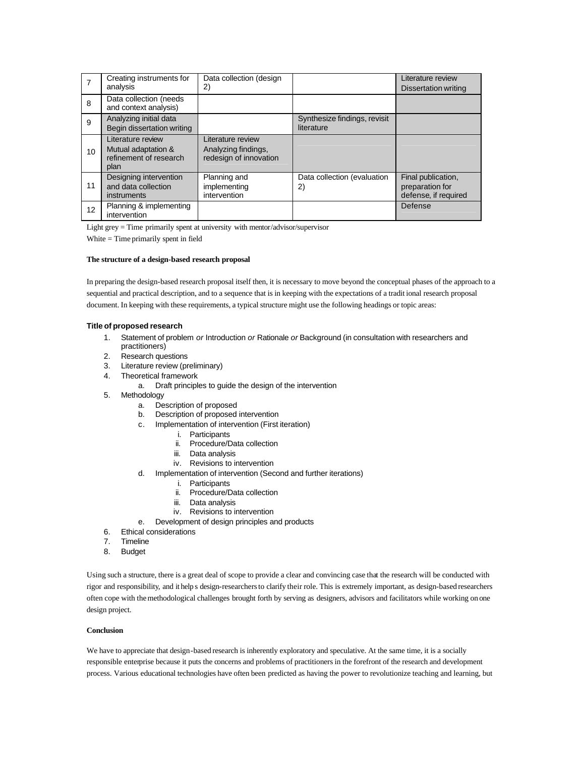|    | Creating instruments for<br>analysis                                       | Data collection (design<br>2)                                      |                                            | Literature review<br><b>Dissertation writing</b>              |
|----|----------------------------------------------------------------------------|--------------------------------------------------------------------|--------------------------------------------|---------------------------------------------------------------|
| 8  | Data collection (needs<br>and context analysis)                            |                                                                    |                                            |                                                               |
| 9  | Analyzing initial data<br>Begin dissertation writing                       |                                                                    | Synthesize findings, revisit<br>literature |                                                               |
| 10 | Literature review<br>Mutual adaptation &<br>refinement of research<br>plan | Literature review<br>Analyzing findings,<br>redesign of innovation |                                            |                                                               |
| 11 | Designing intervention<br>and data collection<br>instruments               | Planning and<br>implementing<br>intervention                       | Data collection (evaluation<br>2)          | Final publication,<br>preparation for<br>defense, if required |
| 12 | Planning & implementing<br>intervention                                    |                                                                    |                                            | Defense                                                       |

Light grey = Time primarily spent at university with mentor/advisor/supervisor

White = Time primarily spent in field

# **The structure of a design-based research proposal**

In preparing the design-based research proposal itself then, it is necessary to move beyond the conceptual phases of the approach to a sequential and practical description, and to a sequence that is in keeping with the expectations of a tradit ional research proposal document. In keeping with these requirements, a typical structure might use the following headings or topic areas:

# **Title of proposed research**

- 1. Statement of problem *or* Introduction *or* Rationale *or* Background (in consultation with researchers and practitioners)
- 2. Research questions
- 3. Literature review (preliminary)
- 4. Theoretical framework
	- a. Draft principles to guide the design of the intervention
- 5. Methodology
	- a. Description of proposed
	- b. Description of proposed intervention
	- c. Implementation of intervention (First iteration)
		- i. Participants
			- ii. Procedure/Data collection
		- iii. Data analysis
		- iv. Revisions to intervention
	- d. Implementation of intervention (Second and further iterations)
		- i. Participants
		- ii. Procedure/Data collection
		- iii. Data analysis
			- iv. Revisions to intervention
	- e. Development of design principles and products
- 6. Ethical considerations
- 7. Timeline
- 8. Budget

Using such a structure, there is a great deal of scope to provide a clear and convincing case that the research will be conducted with rigor and responsibility, and it help s design-researchers to clarify their role. This is extremely important, as design-based researchers often cope with the methodological challenges brought forth by serving as designers, advisors and facilitators while working on one design project.

# **Conclusion**

We have to appreciate that design-based research is inherently exploratory and speculative. At the same time, it is a socially responsible enterprise because it puts the concerns and problems of practitioners in the forefront of the research and development process. Various educational technologies have often been predicted as having the power to revolutionize teaching and learning, but